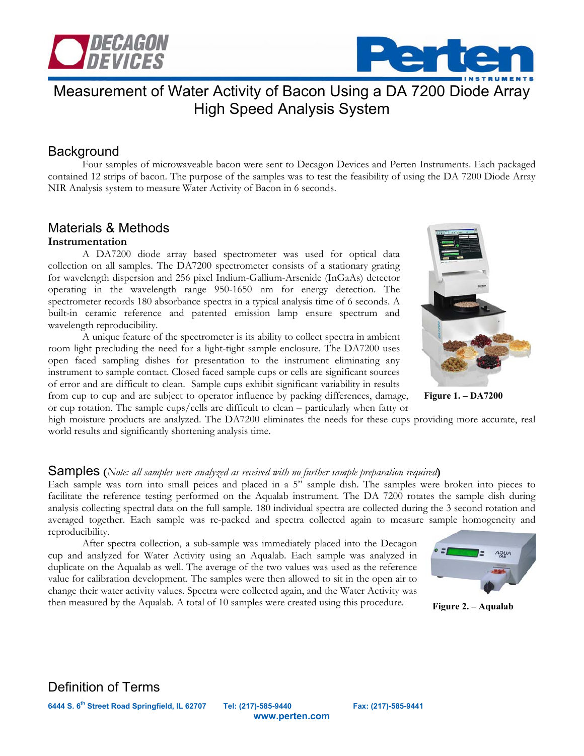



# Measurement of Water Activity of Bacon Using a DA 7200 Diode Array High Speed Analysis System

# Background

Four samples of microwaveable bacon were sent to Decagon Devices and Perten Instruments. Each packaged contained 12 strips of bacon. The purpose of the samples was to test the feasibility of using the DA 7200 Diode Array NIR Analysis system to measure Water Activity of Bacon in 6 seconds.

### Materials & Methods **Instrumentation**

A DA7200 diode array based spectrometer was used for optical data collection on all samples. The DA7200 spectrometer consists of a stationary grating for wavelength dispersion and 256 pixel Indium-Gallium-Arsenide (InGaAs) detector operating in the wavelength range 950-1650 nm for energy detection. The spectrometer records 180 absorbance spectra in a typical analysis time of 6 seconds. A built-in ceramic reference and patented emission lamp ensure spectrum and wavelength reproducibility.

A unique feature of the spectrometer is its ability to collect spectra in ambient room light precluding the need for a light-tight sample enclosure. The DA7200 uses open faced sampling dishes for presentation to the instrument eliminating any instrument to sample contact. Closed faced sample cups or cells are significant sources of error and are difficult to clean. Sample cups exhibit significant variability in results from cup to cup and are subject to operator influence by packing differences, damage, or cup rotation. The sample cups/cells are difficult to clean – particularly when fatty or



**Figure 1. – DA7200**

high moisture products are analyzed. The DA7200 eliminates the needs for these cups providing more accurate, real world results and significantly shortening analysis time.

#### Samples **(***Note: all samples were analyzed as received with no further sample preparation required***)**

Each sample was torn into small peices and placed in a 5" sample dish. The samples were broken into pieces to facilitate the reference testing performed on the Aqualab instrument. The DA 7200 rotates the sample dish during analysis collecting spectral data on the full sample. 180 individual spectra are collected during the 3 second rotation and averaged together. Each sample was re-packed and spectra collected again to measure sample homogeneity and reproducibility.

After spectra collection, a sub-sample was immediately placed into the Decagon cup and analyzed for Water Activity using an Aqualab. Each sample was analyzed in duplicate on the Aqualab as well. The average of the two values was used as the reference value for calibration development. The samples were then allowed to sit in the open air to change their water activity values. Spectra were collected again, and the Water Activity was then measured by the Aqualab. A total of 10 samples were created using this procedure.



**Figure 2. – Aqualab**

Definition of Terms

**6444 S. 6th Street Road Springfield, IL 62707 Tel: (217)-585-9440 Fax: (217)-585-9441** 

**www.perten.com**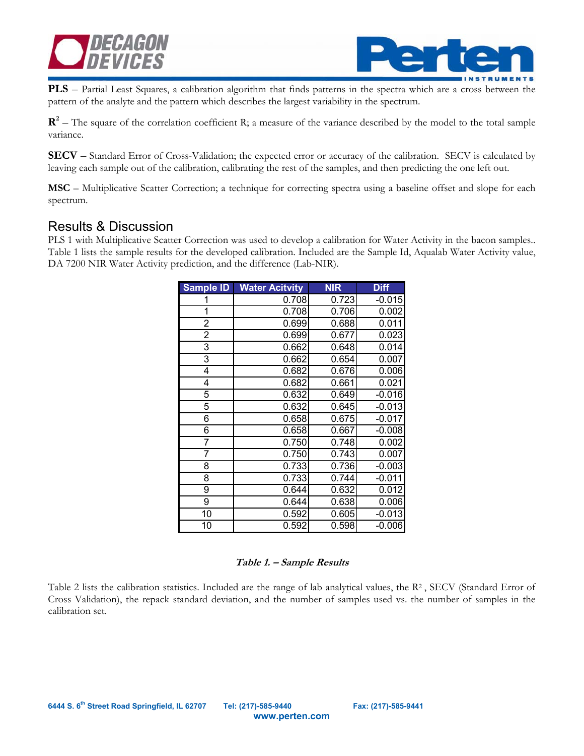



**PLS** – Partial Least Squares, a calibration algorithm that finds patterns in the spectra which are a cross between the pattern of the analyte and the pattern which describes the largest variability in the spectrum.

 $\mathbb{R}^2$  – The square of the correlation coefficient R; a measure of the variance described by the model to the total sample variance.

**SECV** – Standard Error of Cross-Validation; the expected error or accuracy of the calibration. SECV is calculated by leaving each sample out of the calibration, calibrating the rest of the samples, and then predicting the one left out.

**MSC** – Multiplicative Scatter Correction; a technique for correcting spectra using a baseline offset and slope for each spectrum.

### Results & Discussion

PLS 1 with Multiplicative Scatter Correction was used to develop a calibration for Water Activity in the bacon samples.. Table 1 lists the sample results for the developed calibration. Included are the Sample Id, Aqualab Water Activity value, DA 7200 NIR Water Activity prediction, and the difference (Lab-NIR).

| Sample ID      | <b>Water Acitvity</b> | <b>NIR</b> | <b>Diff</b> |
|----------------|-----------------------|------------|-------------|
| 1              | 0.708                 | 0.723      | $-0.015$    |
| 1              | 0.708                 | 0.706      | 0.002       |
| $\overline{2}$ | 0.699                 | 0.688      | 0.011       |
| 2              | 0.699                 | 0.677      | 0.023       |
| 3              | 0.662                 | 0.648      | 0.014       |
| 3              | 0.662                 | 0.654      | 0.007       |
| 4              | 0.682                 | 0.676      | 0.006       |
| 4              | 0.682                 | 0.661      | 0.021       |
| 5              | 0.632                 | 0.649      | $-0.016$    |
| 5              | 0.632                 | 0.645      | $-0.013$    |
| 6              | 0.658                 | 0.675      | $-0.017$    |
| 6              | 0.658                 | 0.667      | $-0.008$    |
| 7              | 0.750                 | 0.748      | 0.002       |
| 7              | 0.750                 | 0.743      | 0.007       |
| 8              | 0.733                 | 0.736      | $-0.003$    |
| 8              | 0.733                 | 0.744      | $-0.011$    |
| 9              | 0.644                 | 0.632      | 0.012       |
| 9              | 0.644                 | 0.638      | 0.006       |
| 10             | 0.592                 | 0.605      | $-0.013$    |
| 10             | 0.592                 | 0.598      | $-0.006$    |

#### **Table 1. – Sample Results**

Table 2 lists the calibration statistics. Included are the range of lab analytical values, the  $R^2$ , SECV (Standard Error of Cross Validation), the repack standard deviation, and the number of samples used vs. the number of samples in the calibration set.